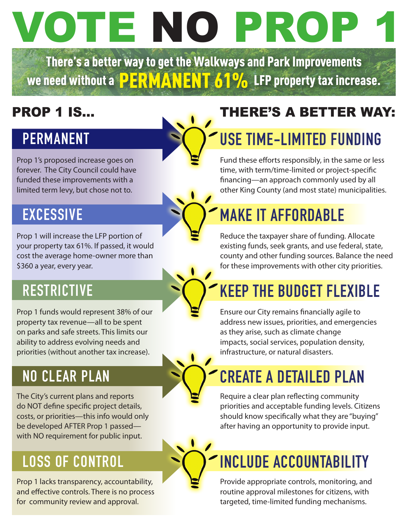# VOTE NO PROP 1

There's a better way to get the Walkways and Park Improvements we need without a **PERMANENT 61%** LFP property tax increase.

# **PROP 1 IS...**

## **PERMANENT**

Prop 1's proposed increase goes on forever. The City Council could have funded these improvements with a limited term levy, but chose not to.

## **EXCESSIVE**

Prop 1 will increase the LFP portion of your property tax 61%. If passed, it would cost the average home-owner more than \$360 a year, every year.

## **RESTRICTIVE**

Prop 1 funds would represent 38% of our property tax revenue—all to be spent on parks and safe streets. This limits our ability to address evolving needs and priorities (without another tax increase).

## **NO CLEAR PLAN**

The City's current plans and reports do NOT define specific project details, costs, or priorities—this info would only be developed AFTER Prop 1 passed with NO requirement for public input.

## **LOSS OF CONTROL**

Prop 1 lacks transparency, accountability, and effective controls. There is no process for community review and approval.

## THERE'S A BETTER WAY:

# **USE TIME-LIMITED FUNDING**

Fund these efforts responsibly, in the same or less time, with term/time-limited or project-specific financing—an approach commonly used by all other King County (and most state) municipalities.

# **MAKE IT AFFORDABLE**

Reduce the taxpayer share of funding. Allocate existing funds, seek grants, and use federal, state, county and other funding sources. Balance the need for these improvements with other city priorities.

# **KEEP THE BUDGET FLEXIBLE**

Ensure our City remains financially agile to address new issues, priorities, and emergencies as they arise, such as climate change impacts, social services, population density, infrastructure, or natural disasters.

# **CREATE A DETAILED PLAN**

Require a clear plan reflecting community priorities and acceptable funding levels. Citizens should know specifically what they are "buying" after having an opportunity to provide input.

# **INCLUDE ACCOUNTABILITY**

Provide appropriate controls, monitoring, and routine approval milestones for citizens, with targeted, time-limited funding mechanisms.